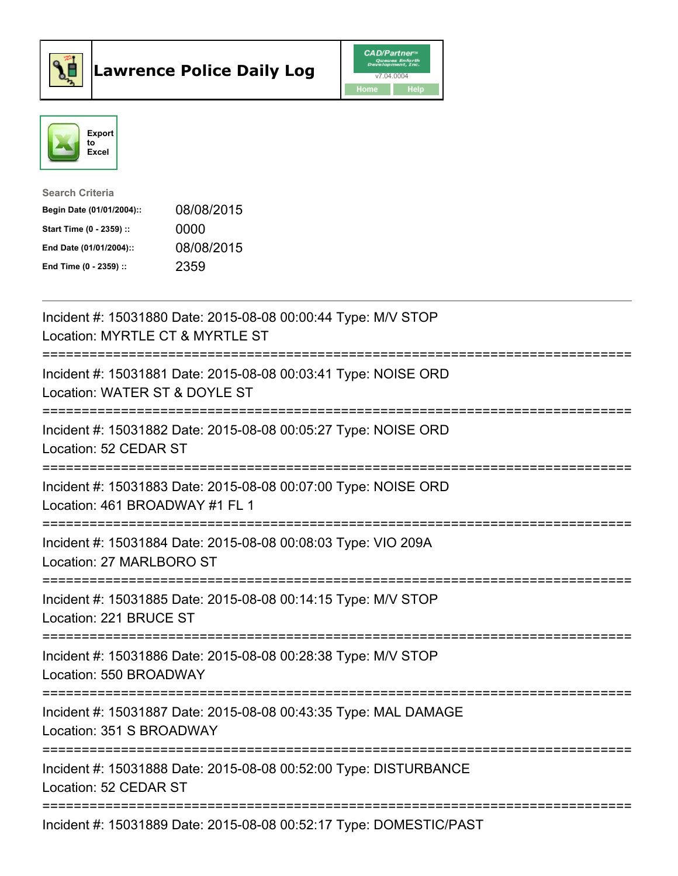



| <b>Search Criteria</b>    |            |
|---------------------------|------------|
| Begin Date (01/01/2004):: | 08/08/2015 |
| Start Time (0 - 2359) ::  | 0000       |
| End Date (01/01/2004)::   | 08/08/2015 |
| End Time $(0 - 2359)$ :   | 2359       |

| Incident #: 15031880 Date: 2015-08-08 00:00:44 Type: M/V STOP<br>Location: MYRTLE CT & MYRTLE ST                     |
|----------------------------------------------------------------------------------------------------------------------|
| Incident #: 15031881 Date: 2015-08-08 00:03:41 Type: NOISE ORD<br>Location: WATER ST & DOYLE ST                      |
| Incident #: 15031882 Date: 2015-08-08 00:05:27 Type: NOISE ORD<br>Location: 52 CEDAR ST                              |
| Incident #: 15031883 Date: 2015-08-08 00:07:00 Type: NOISE ORD<br>Location: 461 BROADWAY #1 FL 1                     |
| Incident #: 15031884 Date: 2015-08-08 00:08:03 Type: VIO 209A<br>Location: 27 MARLBORO ST                            |
| Incident #: 15031885 Date: 2015-08-08 00:14:15 Type: M/V STOP<br>Location: 221 BRUCE ST                              |
| Incident #: 15031886 Date: 2015-08-08 00:28:38 Type: M/V STOP<br>Location: 550 BROADWAY<br>=====================     |
| Incident #: 15031887 Date: 2015-08-08 00:43:35 Type: MAL DAMAGE<br>Location: 351 S BROADWAY                          |
| =======================<br>Incident #: 15031888 Date: 2015-08-08 00:52:00 Type: DISTURBANCE<br>Location: 52 CEDAR ST |
| Incident #: 15031889 Date: 2015-08-08 00:52:17 Type: DOMESTIC/PAST                                                   |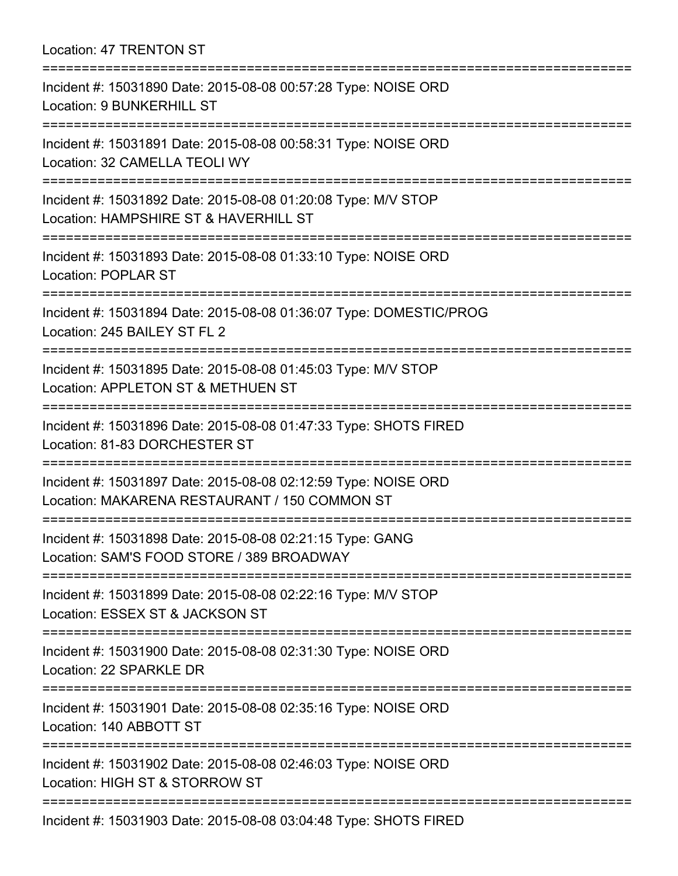Location: 47 TRENTON ST

| :==============================<br>=============================                                                                   |
|------------------------------------------------------------------------------------------------------------------------------------|
| Incident #: 15031890 Date: 2015-08-08 00:57:28 Type: NOISE ORD<br>Location: 9 BUNKERHILL ST<br>=================================== |
| Incident #: 15031891 Date: 2015-08-08 00:58:31 Type: NOISE ORD<br>Location: 32 CAMELLA TEOLI WY                                    |
| Incident #: 15031892 Date: 2015-08-08 01:20:08 Type: M/V STOP<br>Location: HAMPSHIRE ST & HAVERHILL ST                             |
| Incident #: 15031893 Date: 2015-08-08 01:33:10 Type: NOISE ORD<br><b>Location: POPLAR ST</b>                                       |
| Incident #: 15031894 Date: 2015-08-08 01:36:07 Type: DOMESTIC/PROG<br>Location: 245 BAILEY ST FL 2                                 |
| Incident #: 15031895 Date: 2015-08-08 01:45:03 Type: M/V STOP<br>Location: APPLETON ST & METHUEN ST                                |
| Incident #: 15031896 Date: 2015-08-08 01:47:33 Type: SHOTS FIRED<br>Location: 81-83 DORCHESTER ST                                  |
| Incident #: 15031897 Date: 2015-08-08 02:12:59 Type: NOISE ORD<br>Location: MAKARENA RESTAURANT / 150 COMMON ST                    |
| Incident #: 15031898 Date: 2015-08-08 02:21:15 Type: GANG<br>Location: SAM'S FOOD STORE / 389 BROADWAY                             |
| Incident #: 15031899 Date: 2015-08-08 02:22:16 Type: M/V STOP<br>Location: ESSEX ST & JACKSON ST                                   |
| Incident #: 15031900 Date: 2015-08-08 02:31:30 Type: NOISE ORD<br>Location: 22 SPARKLE DR                                          |
| Incident #: 15031901 Date: 2015-08-08 02:35:16 Type: NOISE ORD<br>Location: 140 ABBOTT ST                                          |
| Incident #: 15031902 Date: 2015-08-08 02:46:03 Type: NOISE ORD<br>Location: HIGH ST & STORROW ST                                   |
| Incident #: 15031903 Date: 2015-08-08 03:04:48 Type: SHOTS FIRED                                                                   |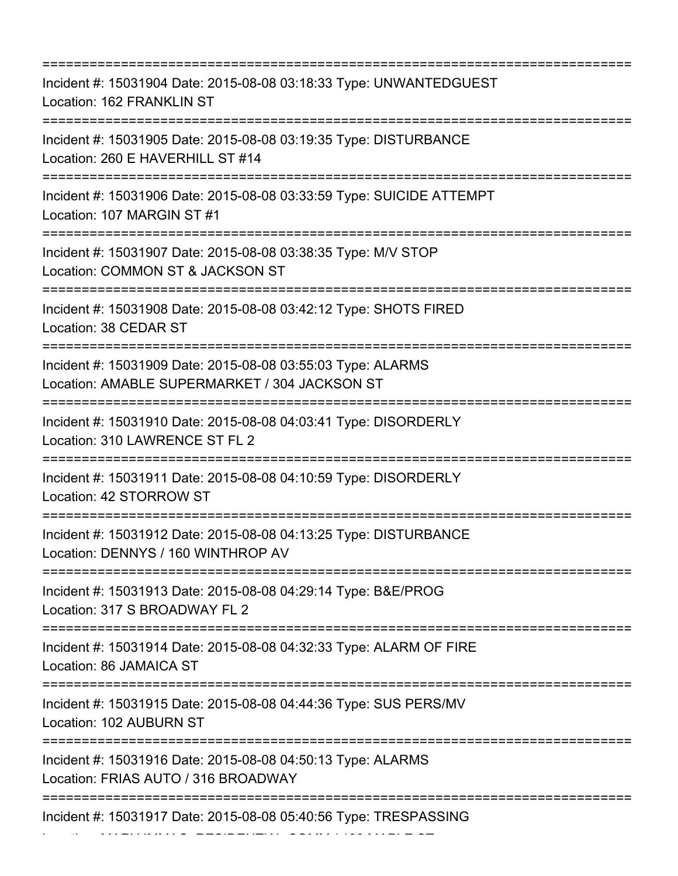=========================================================================== Incident #: 15031904 Date: 2015-08-08 03:18:33 Type: UNWANTEDGUEST Location: 162 FRANKLIN ST =========================================================================== Incident #: 15031905 Date: 2015-08-08 03:19:35 Type: DISTURBANCE Location: 260 E HAVERHILL ST #14 =========================================================================== Incident #: 15031906 Date: 2015-08-08 03:33:59 Type: SUICIDE ATTEMPT Location: 107 MARGIN ST #1 =========================================================================== Incident #: 15031907 Date: 2015-08-08 03:38:35 Type: M/V STOP Location: COMMON ST & JACKSON ST =========================================================================== Incident #: 15031908 Date: 2015-08-08 03:42:12 Type: SHOTS FIRED Location: 38 CEDAR ST =========================================================================== Incident #: 15031909 Date: 2015-08-08 03:55:03 Type: ALARMS Location: AMABLE SUPERMARKET / 304 JACKSON ST =========================================================================== Incident #: 15031910 Date: 2015-08-08 04:03:41 Type: DISORDERLY Location: 310 LAWRENCE ST FL 2 =========================================================================== Incident #: 15031911 Date: 2015-08-08 04:10:59 Type: DISORDERLY Location: 42 STORROW ST =========================================================================== Incident #: 15031912 Date: 2015-08-08 04:13:25 Type: DISTURBANCE Location: DENNYS / 160 WINTHROP AV =========================================================================== Incident #: 15031913 Date: 2015-08-08 04:29:14 Type: B&E/PROG Location: 317 S BROADWAY FL 2 =========================================================================== Incident #: 15031914 Date: 2015-08-08 04:32:33 Type: ALARM OF FIRE Location: 86 JAMAICA ST =========================================================================== Incident #: 15031915 Date: 2015-08-08 04:44:36 Type: SUS PERS/MV Location: 102 AUBURN ST =========================================================================== Incident #: 15031916 Date: 2015-08-08 04:50:13 Type: ALARMS Location: FRIAS AUTO / 316 BROADWAY =========================================================================== Incident #: 15031917 Date: 2015-08-08 05:40:56 Type: TRESPASSING

Location: MARY IMMAC. RESIDENTIAL COMM / 189 MAPLE ST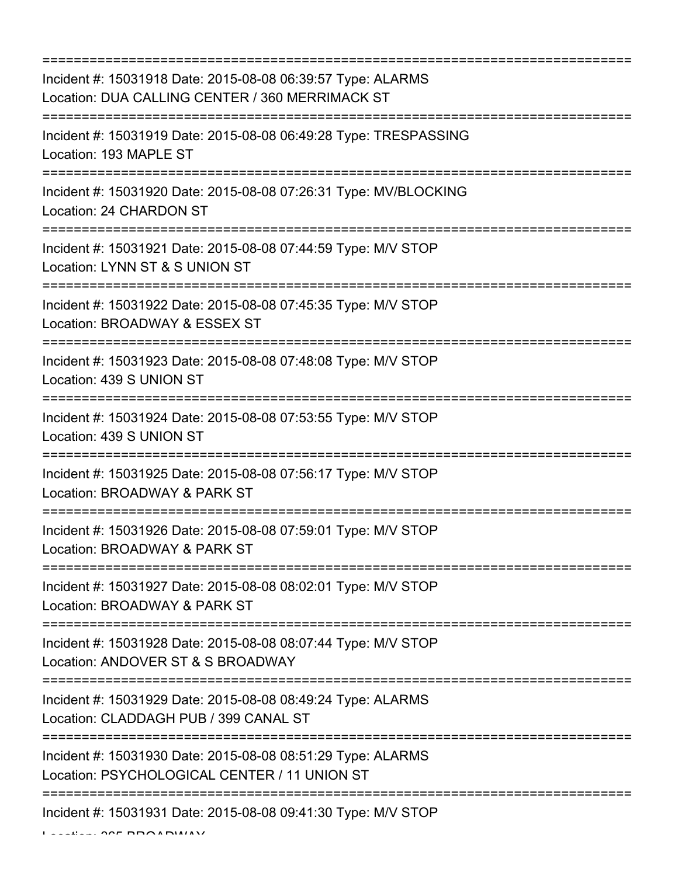| =========================                                                                                                       |
|---------------------------------------------------------------------------------------------------------------------------------|
| Incident #: 15031918 Date: 2015-08-08 06:39:57 Type: ALARMS<br>Location: DUA CALLING CENTER / 360 MERRIMACK ST                  |
| Incident #: 15031919 Date: 2015-08-08 06:49:28 Type: TRESPASSING<br>Location: 193 MAPLE ST                                      |
| Incident #: 15031920 Date: 2015-08-08 07:26:31 Type: MV/BLOCKING<br>Location: 24 CHARDON ST<br>------------------------------   |
| Incident #: 15031921 Date: 2015-08-08 07:44:59 Type: M/V STOP<br>Location: LYNN ST & S UNION ST                                 |
| Incident #: 15031922 Date: 2015-08-08 07:45:35 Type: M/V STOP<br>Location: BROADWAY & ESSEX ST                                  |
| Incident #: 15031923 Date: 2015-08-08 07:48:08 Type: M/V STOP<br>Location: 439 S UNION ST                                       |
| Incident #: 15031924 Date: 2015-08-08 07:53:55 Type: M/V STOP<br>Location: 439 S UNION ST<br>===============================    |
| Incident #: 15031925 Date: 2015-08-08 07:56:17 Type: M/V STOP<br>Location: BROADWAY & PARK ST                                   |
| Incident #: 15031926 Date: 2015-08-08 07:59:01 Type: M/V STOP<br>Location: BROADWAY & PARK ST<br>============================== |
| Incident #: 15031927 Date: 2015-08-08 08:02:01 Type: M/V STOP<br>Location: BROADWAY & PARK ST                                   |
| Incident #: 15031928 Date: 2015-08-08 08:07:44 Type: M/V STOP<br>Location: ANDOVER ST & S BROADWAY                              |
| Incident #: 15031929 Date: 2015-08-08 08:49:24 Type: ALARMS<br>Location: CLADDAGH PUB / 399 CANAL ST                            |
| Incident #: 15031930 Date: 2015-08-08 08:51:29 Type: ALARMS<br>Location: PSYCHOLOGICAL CENTER / 11 UNION ST                     |
| Incident #: 15031931 Date: 2015-08-08 09:41:30 Type: M/V STOP                                                                   |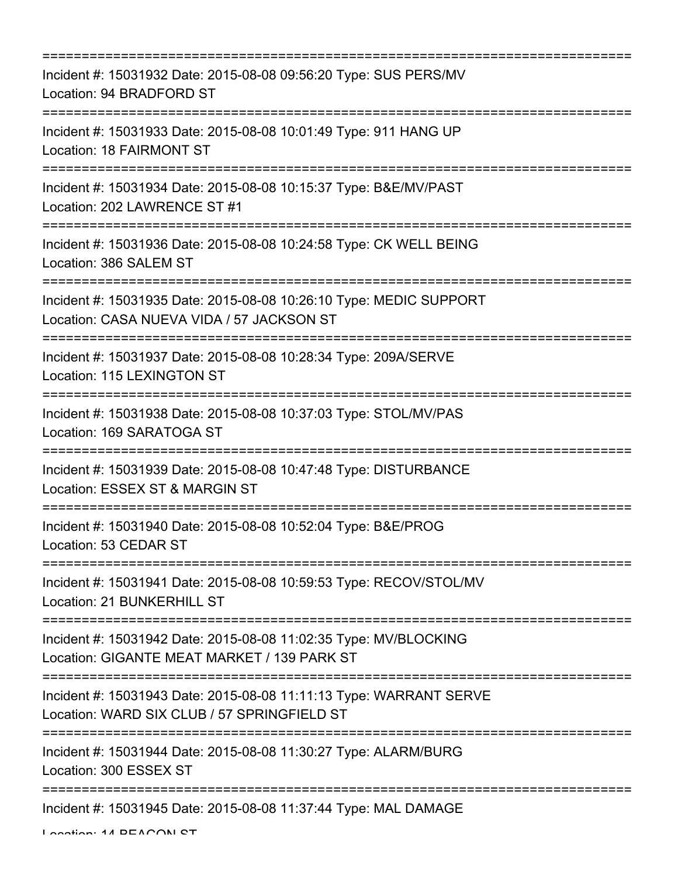| Incident #: 15031932 Date: 2015-08-08 09:56:20 Type: SUS PERS/MV<br>Location: 94 BRADFORD ST                                                                     |
|------------------------------------------------------------------------------------------------------------------------------------------------------------------|
| Incident #: 15031933 Date: 2015-08-08 10:01:49 Type: 911 HANG UP<br><b>Location: 18 FAIRMONT ST</b>                                                              |
| Incident #: 15031934 Date: 2015-08-08 10:15:37 Type: B&E/MV/PAST<br>Location: 202 LAWRENCE ST #1                                                                 |
| Incident #: 15031936 Date: 2015-08-08 10:24:58 Type: CK WELL BEING<br>Location: 386 SALEM ST                                                                     |
| Incident #: 15031935 Date: 2015-08-08 10:26:10 Type: MEDIC SUPPORT<br>Location: CASA NUEVA VIDA / 57 JACKSON ST                                                  |
| Incident #: 15031937 Date: 2015-08-08 10:28:34 Type: 209A/SERVE<br><b>Location: 115 LEXINGTON ST</b>                                                             |
| Incident #: 15031938 Date: 2015-08-08 10:37:03 Type: STOL/MV/PAS<br>Location: 169 SARATOGA ST                                                                    |
| Incident #: 15031939 Date: 2015-08-08 10:47:48 Type: DISTURBANCE<br>Location: ESSEX ST & MARGIN ST                                                               |
| Incident #: 15031940 Date: 2015-08-08 10:52:04 Type: B&E/PROG<br>Location: 53 CEDAR ST                                                                           |
| ----------------------------------<br>======================<br>Incident #: 15031941 Date: 2015-08-08 10:59:53 Type: RECOV/STOL/MV<br>Location: 21 BUNKERHILL ST |
| Incident #: 15031942 Date: 2015-08-08 11:02:35 Type: MV/BLOCKING<br>Location: GIGANTE MEAT MARKET / 139 PARK ST                                                  |
| Incident #: 15031943 Date: 2015-08-08 11:11:13 Type: WARRANT SERVE<br>Location: WARD SIX CLUB / 57 SPRINGFIELD ST                                                |
| Incident #: 15031944 Date: 2015-08-08 11:30:27 Type: ALARM/BURG<br>Location: 300 ESSEX ST                                                                        |
| Incident #: 15031945 Date: 2015-08-08 11:37:44 Type: MAL DAMAGE                                                                                                  |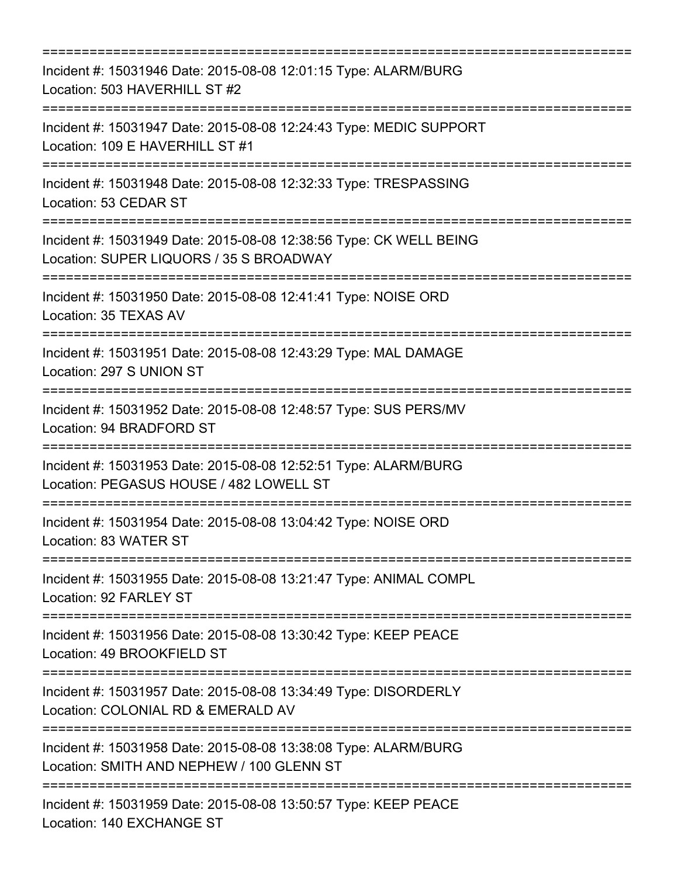| Incident #: 15031946 Date: 2015-08-08 12:01:15 Type: ALARM/BURG<br>Location: 503 HAVERHILL ST #2                                 |
|----------------------------------------------------------------------------------------------------------------------------------|
| Incident #: 15031947 Date: 2015-08-08 12:24:43 Type: MEDIC SUPPORT<br>Location: 109 E HAVERHILL ST #1<br>:====================== |
| Incident #: 15031948 Date: 2015-08-08 12:32:33 Type: TRESPASSING<br>Location: 53 CEDAR ST                                        |
| Incident #: 15031949 Date: 2015-08-08 12:38:56 Type: CK WELL BEING<br>Location: SUPER LIQUORS / 35 S BROADWAY                    |
| Incident #: 15031950 Date: 2015-08-08 12:41:41 Type: NOISE ORD<br>Location: 35 TEXAS AV                                          |
| Incident #: 15031951 Date: 2015-08-08 12:43:29 Type: MAL DAMAGE<br>Location: 297 S UNION ST                                      |
| Incident #: 15031952 Date: 2015-08-08 12:48:57 Type: SUS PERS/MV<br>Location: 94 BRADFORD ST<br>==================               |
| Incident #: 15031953 Date: 2015-08-08 12:52:51 Type: ALARM/BURG<br>Location: PEGASUS HOUSE / 482 LOWELL ST                       |
| Incident #: 15031954 Date: 2015-08-08 13:04:42 Type: NOISE ORD<br>Location: 83 WATER ST                                          |
| Incident #: 15031955 Date: 2015-08-08 13:21:47 Type: ANIMAL COMPL<br>Location: 92 FARLEY ST                                      |
| Incident #: 15031956 Date: 2015-08-08 13:30:42 Type: KEEP PEACE<br>Location: 49 BROOKFIELD ST                                    |
| Incident #: 15031957 Date: 2015-08-08 13:34:49 Type: DISORDERLY<br>Location: COLONIAL RD & EMERALD AV                            |
| Incident #: 15031958 Date: 2015-08-08 13:38:08 Type: ALARM/BURG<br>Location: SMITH AND NEPHEW / 100 GLENN ST                     |
| Incident #: 15031959 Date: 2015-08-08 13:50:57 Type: KEEP PEACE<br>Location: 140 EXCHANGE ST                                     |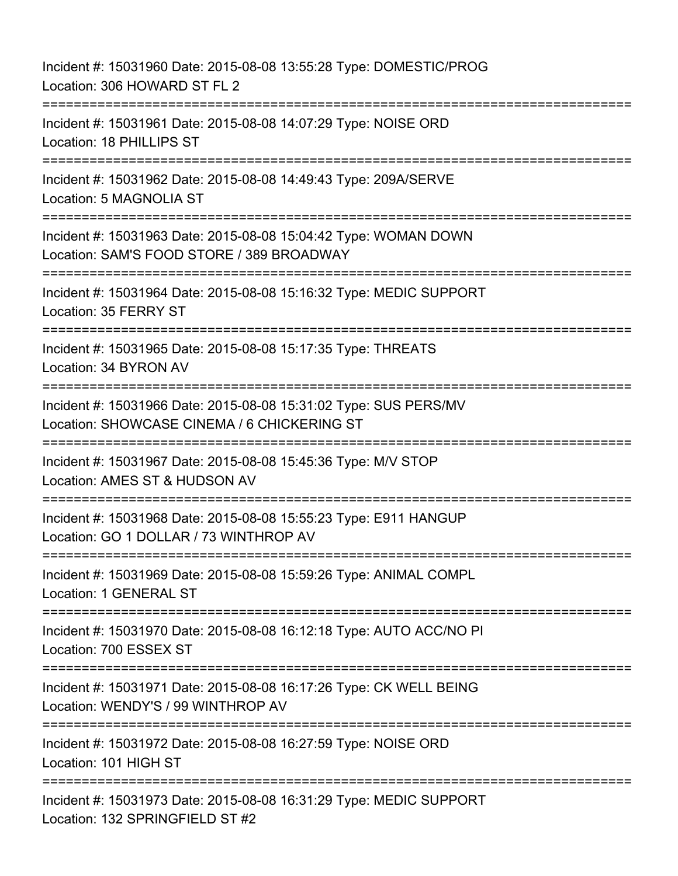Incident #: 15031960 Date: 2015-08-08 13:55:28 Type: DOMESTIC/PROG Location: 306 HOWARD ST FL 2 =========================================================================== Incident #: 15031961 Date: 2015-08-08 14:07:29 Type: NOISE ORD Location: 18 PHILLIPS ST =========================================================================== Incident #: 15031962 Date: 2015-08-08 14:49:43 Type: 209A/SERVE Location: 5 MAGNOLIA ST =========================================================================== Incident #: 15031963 Date: 2015-08-08 15:04:42 Type: WOMAN DOWN Location: SAM'S FOOD STORE / 389 BROADWAY =========================================================================== Incident #: 15031964 Date: 2015-08-08 15:16:32 Type: MEDIC SUPPORT Location: 35 FERRY ST =========================================================================== Incident #: 15031965 Date: 2015-08-08 15:17:35 Type: THREATS Location: 34 BYRON AV =========================================================================== Incident #: 15031966 Date: 2015-08-08 15:31:02 Type: SUS PERS/MV Location: SHOWCASE CINEMA / 6 CHICKERING ST =========================================================================== Incident #: 15031967 Date: 2015-08-08 15:45:36 Type: M/V STOP Location: AMES ST & HUDSON AV =========================================================================== Incident #: 15031968 Date: 2015-08-08 15:55:23 Type: E911 HANGUP Location: GO 1 DOLLAR / 73 WINTHROP AV =========================================================================== Incident #: 15031969 Date: 2015-08-08 15:59:26 Type: ANIMAL COMPL Location: 1 GENERAL ST =========================================================================== Incident #: 15031970 Date: 2015-08-08 16:12:18 Type: AUTO ACC/NO PI Location: 700 ESSEX ST =========================================================================== Incident #: 15031971 Date: 2015-08-08 16:17:26 Type: CK WELL BEING Location: WENDY'S / 99 WINTHROP AV =========================================================================== Incident #: 15031972 Date: 2015-08-08 16:27:59 Type: NOISE ORD Location: 101 HIGH ST ========================= Incident #: 15031973 Date: 2015-08-08 16:31:29 Type: MEDIC SUPPORT Location: 132 SPRINGFIELD ST #2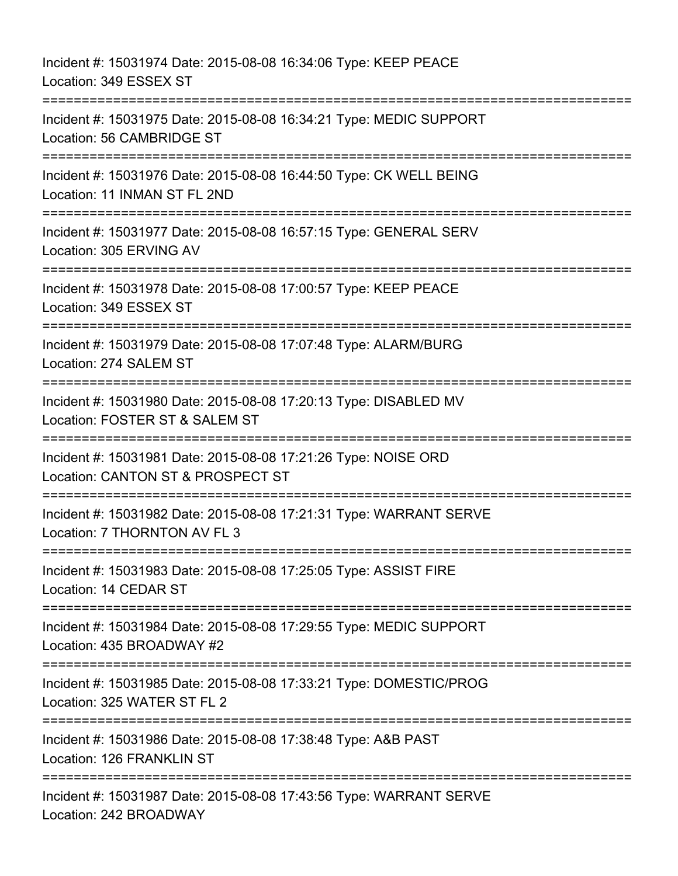Incident #: 15031974 Date: 2015-08-08 16:34:06 Type: KEEP PEACE Location: 349 ESSEX ST =========================================================================== Incident #: 15031975 Date: 2015-08-08 16:34:21 Type: MEDIC SUPPORT Location: 56 CAMBRIDGE ST =========================================================================== Incident #: 15031976 Date: 2015-08-08 16:44:50 Type: CK WELL BEING Location: 11 INMAN ST FL 2ND =========================================================================== Incident #: 15031977 Date: 2015-08-08 16:57:15 Type: GENERAL SERV Location: 305 ERVING AV =========================================================================== Incident #: 15031978 Date: 2015-08-08 17:00:57 Type: KEEP PEACE Location: 349 ESSEX ST =========================================================================== Incident #: 15031979 Date: 2015-08-08 17:07:48 Type: ALARM/BURG Location: 274 SALEM ST =========================================================================== Incident #: 15031980 Date: 2015-08-08 17:20:13 Type: DISABLED MV Location: FOSTER ST & SALEM ST =========================================================================== Incident #: 15031981 Date: 2015-08-08 17:21:26 Type: NOISE ORD Location: CANTON ST & PROSPECT ST ============================= Incident #: 15031982 Date: 2015-08-08 17:21:31 Type: WARRANT SERVE Location: 7 THORNTON AV FL 3 =========================================================================== Incident #: 15031983 Date: 2015-08-08 17:25:05 Type: ASSIST FIRE Location: 14 CEDAR ST =========================================================================== Incident #: 15031984 Date: 2015-08-08 17:29:55 Type: MEDIC SUPPORT Location: 435 BROADWAY #2 =========================================================================== Incident #: 15031985 Date: 2015-08-08 17:33:21 Type: DOMESTIC/PROG Location: 325 WATER ST FL 2 =========================================================================== Incident #: 15031986 Date: 2015-08-08 17:38:48 Type: A&B PAST Location: 126 FRANKLIN ST =========================================================================== Incident #: 15031987 Date: 2015-08-08 17:43:56 Type: WARRANT SERVE Location: 242 BROADWAY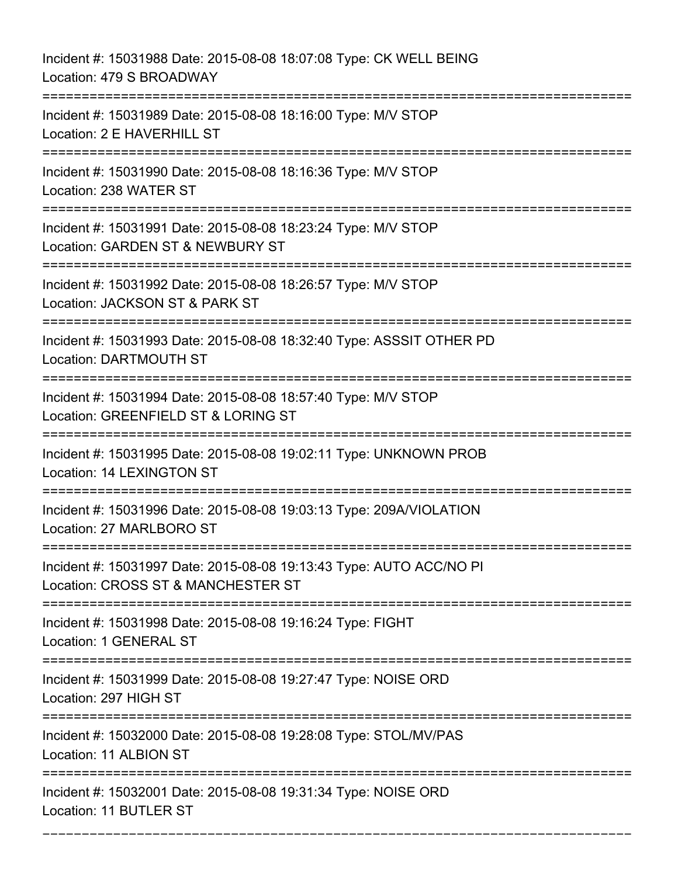Incident #: 15031988 Date: 2015-08-08 18:07:08 Type: CK WELL BEING Location: 479 S BROADWAY =========================================================================== Incident #: 15031989 Date: 2015-08-08 18:16:00 Type: M/V STOP Location: 2 E HAVERHILL ST =========================================================================== Incident #: 15031990 Date: 2015-08-08 18:16:36 Type: M/V STOP Location: 238 WATER ST =========================================================================== Incident #: 15031991 Date: 2015-08-08 18:23:24 Type: M/V STOP Location: GARDEN ST & NEWBURY ST =========================================================================== Incident #: 15031992 Date: 2015-08-08 18:26:57 Type: M/V STOP Location: JACKSON ST & PARK ST =========================================================================== Incident #: 15031993 Date: 2015-08-08 18:32:40 Type: ASSSIT OTHER PD Location: DARTMOUTH ST =========================================================================== Incident #: 15031994 Date: 2015-08-08 18:57:40 Type: M/V STOP Location: GREENFIELD ST & LORING ST =========================================================================== Incident #: 15031995 Date: 2015-08-08 19:02:11 Type: UNKNOWN PROB Location: 14 LEXINGTON ST =========================================================================== Incident #: 15031996 Date: 2015-08-08 19:03:13 Type: 209A/VIOLATION Location: 27 MARLBORO ST =========================================================================== Incident #: 15031997 Date: 2015-08-08 19:13:43 Type: AUTO ACC/NO PI Location: CROSS ST & MANCHESTER ST =========================================================================== Incident #: 15031998 Date: 2015-08-08 19:16:24 Type: FIGHT Location: 1 GENERAL ST =========================================================================== Incident #: 15031999 Date: 2015-08-08 19:27:47 Type: NOISE ORD Location: 297 HIGH ST =========================================================================== Incident #: 15032000 Date: 2015-08-08 19:28:08 Type: STOL/MV/PAS Location: 11 ALBION ST =========================================================================== Incident #: 15032001 Date: 2015-08-08 19:31:34 Type: NOISE ORD Location: 11 BUTLER ST

===========================================================================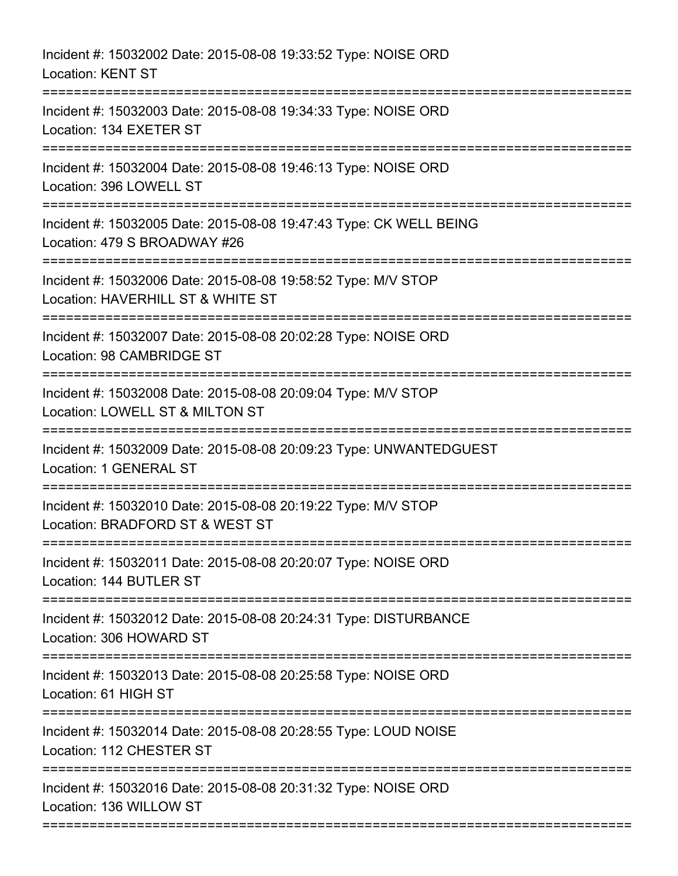| Incident #: 15032002 Date: 2015-08-08 19:33:52 Type: NOISE ORD<br><b>Location: KENT ST</b>                     |
|----------------------------------------------------------------------------------------------------------------|
| Incident #: 15032003 Date: 2015-08-08 19:34:33 Type: NOISE ORD<br>Location: 134 EXETER ST                      |
| Incident #: 15032004 Date: 2015-08-08 19:46:13 Type: NOISE ORD<br>Location: 396 LOWELL ST                      |
| Incident #: 15032005 Date: 2015-08-08 19:47:43 Type: CK WELL BEING<br>Location: 479 S BROADWAY #26             |
| Incident #: 15032006 Date: 2015-08-08 19:58:52 Type: M/V STOP<br>Location: HAVERHILL ST & WHITE ST             |
| Incident #: 15032007 Date: 2015-08-08 20:02:28 Type: NOISE ORD<br>Location: 98 CAMBRIDGE ST                    |
| Incident #: 15032008 Date: 2015-08-08 20:09:04 Type: M/V STOP<br>Location: LOWELL ST & MILTON ST               |
| Incident #: 15032009 Date: 2015-08-08 20:09:23 Type: UNWANTEDGUEST<br>Location: 1 GENERAL ST<br>============== |
| Incident #: 15032010 Date: 2015-08-08 20:19:22 Type: M/V STOP<br>Location: BRADFORD ST & WEST ST               |
| Incident #: 15032011 Date: 2015-08-08 20:20:07 Type: NOISE ORD<br>Location: 144 BUTLER ST                      |
| Incident #: 15032012 Date: 2015-08-08 20:24:31 Type: DISTURBANCE<br>Location: 306 HOWARD ST                    |
| Incident #: 15032013 Date: 2015-08-08 20:25:58 Type: NOISE ORD<br>Location: 61 HIGH ST                         |
| Incident #: 15032014 Date: 2015-08-08 20:28:55 Type: LOUD NOISE<br>Location: 112 CHESTER ST                    |
| Incident #: 15032016 Date: 2015-08-08 20:31:32 Type: NOISE ORD<br>Location: 136 WILLOW ST                      |
|                                                                                                                |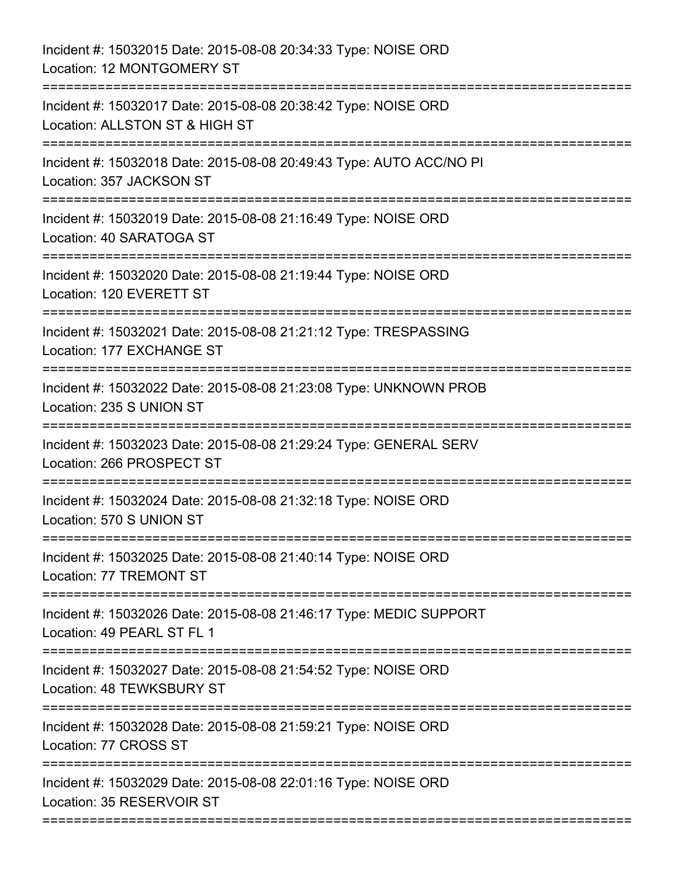| Incident #: 15032015 Date: 2015-08-08 20:34:33 Type: NOISE ORD<br>Location: 12 MONTGOMERY ST                                |
|-----------------------------------------------------------------------------------------------------------------------------|
| Incident #: 15032017 Date: 2015-08-08 20:38:42 Type: NOISE ORD<br>Location: ALLSTON ST & HIGH ST                            |
| Incident #: 15032018 Date: 2015-08-08 20:49:43 Type: AUTO ACC/NO PI<br>Location: 357 JACKSON ST<br>======================== |
| Incident #: 15032019 Date: 2015-08-08 21:16:49 Type: NOISE ORD<br>Location: 40 SARATOGA ST                                  |
| Incident #: 15032020 Date: 2015-08-08 21:19:44 Type: NOISE ORD<br>Location: 120 EVERETT ST                                  |
| Incident #: 15032021 Date: 2015-08-08 21:21:12 Type: TRESPASSING<br>Location: 177 EXCHANGE ST                               |
| Incident #: 15032022 Date: 2015-08-08 21:23:08 Type: UNKNOWN PROB<br>Location: 235 S UNION ST<br>======================     |
| Incident #: 15032023 Date: 2015-08-08 21:29:24 Type: GENERAL SERV<br>Location: 266 PROSPECT ST                              |
| Incident #: 15032024 Date: 2015-08-08 21:32:18 Type: NOISE ORD<br>Location: 570 S UNION ST                                  |
| Incident #: 15032025 Date: 2015-08-08 21:40:14 Type: NOISE ORD<br>Location: 77 TREMONT ST                                   |
| Incident #: 15032026 Date: 2015-08-08 21:46:17 Type: MEDIC SUPPORT<br>Location: 49 PEARL ST FL 1                            |
| Incident #: 15032027 Date: 2015-08-08 21:54:52 Type: NOISE ORD<br>Location: 48 TEWKSBURY ST                                 |
| Incident #: 15032028 Date: 2015-08-08 21:59:21 Type: NOISE ORD<br>Location: 77 CROSS ST                                     |
| Incident #: 15032029 Date: 2015-08-08 22:01:16 Type: NOISE ORD<br>Location: 35 RESERVOIR ST                                 |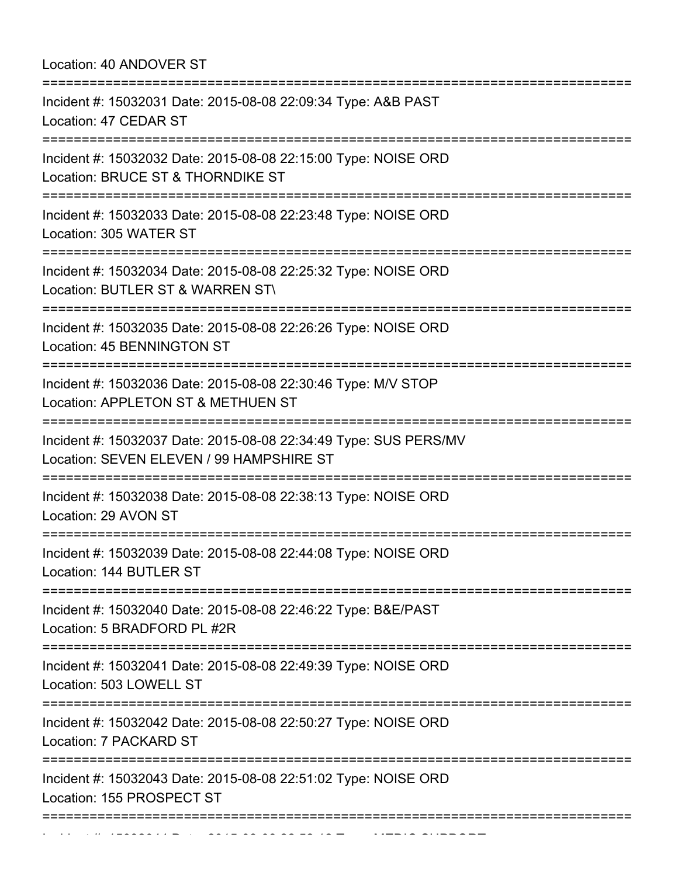Location: 40 ANDOVER ST

| Incident #: 15032043 Date: 2015-08-08 22:51:02 Type: NOISE ORD<br>Location: 155 PROSPECT ST<br>:==============                 |
|--------------------------------------------------------------------------------------------------------------------------------|
| Incident #: 15032042 Date: 2015-08-08 22:50:27 Type: NOISE ORD<br>Location: 7 PACKARD ST                                       |
| Incident #: 15032041 Date: 2015-08-08 22:49:39 Type: NOISE ORD<br>Location: 503 LOWELL ST                                      |
| Incident #: 15032040 Date: 2015-08-08 22:46:22 Type: B&E/PAST<br>Location: 5 BRADFORD PL #2R                                   |
| Incident #: 15032039 Date: 2015-08-08 22:44:08 Type: NOISE ORD<br>Location: 144 BUTLER ST                                      |
| Incident #: 15032038 Date: 2015-08-08 22:38:13 Type: NOISE ORD<br>Location: 29 AVON ST                                         |
| Incident #: 15032037 Date: 2015-08-08 22:34:49 Type: SUS PERS/MV<br>Location: SEVEN ELEVEN / 99 HAMPSHIRE ST                   |
| Incident #: 15032036 Date: 2015-08-08 22:30:46 Type: M/V STOP<br>Location: APPLETON ST & METHUEN ST                            |
| Incident #: 15032035 Date: 2015-08-08 22:26:26 Type: NOISE ORD<br>Location: 45 BENNINGTON ST                                   |
| Incident #: 15032034 Date: 2015-08-08 22:25:32 Type: NOISE ORD<br>Location: BUTLER ST & WARREN ST\                             |
| Incident #: 15032033 Date: 2015-08-08 22:23:48 Type: NOISE ORD<br>Location: 305 WATER ST                                       |
| Incident #: 15032032 Date: 2015-08-08 22:15:00 Type: NOISE ORD<br>Location: BRUCE ST & THORNDIKE ST<br>;====================== |
| Incident #: 15032031 Date: 2015-08-08 22:09:34 Type: A&B PAST<br>Location: 47 CEDAR ST                                         |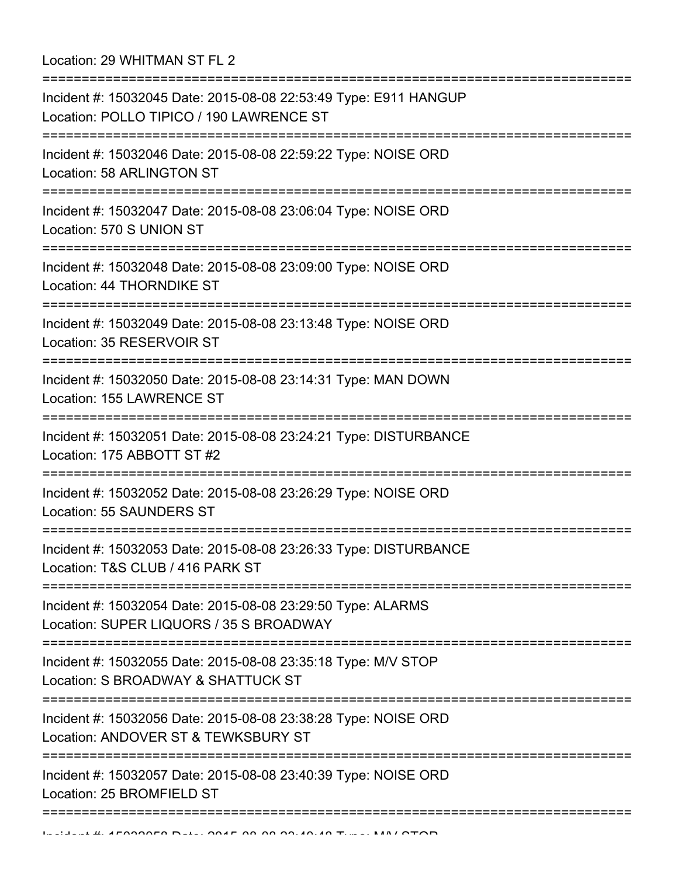Location: 29 WHITMAN ST FL 2

=========================================================================== Incident #: 15032045 Date: 2015-08-08 22:53:49 Type: E911 HANGUP Location: POLLO TIPICO / 190 LAWRENCE ST =========================================================================== Incident #: 15032046 Date: 2015-08-08 22:59:22 Type: NOISE ORD Location: 58 ARLINGTON ST =========================================================================== Incident #: 15032047 Date: 2015-08-08 23:06:04 Type: NOISE ORD Location: 570 S UNION ST =========================================================================== Incident #: 15032048 Date: 2015-08-08 23:09:00 Type: NOISE ORD Location: 44 THORNDIKE ST =========================================================================== Incident #: 15032049 Date: 2015-08-08 23:13:48 Type: NOISE ORD Location: 35 RESERVOIR ST =========================================================================== Incident #: 15032050 Date: 2015-08-08 23:14:31 Type: MAN DOWN Location: 155 LAWRENCE ST =========================================================================== Incident #: 15032051 Date: 2015-08-08 23:24:21 Type: DISTURBANCE Location: 175 ABBOTT ST #2 =========================================================================== Incident #: 15032052 Date: 2015-08-08 23:26:29 Type: NOISE ORD Location: 55 SAUNDERS ST =========================================================================== Incident #: 15032053 Date: 2015-08-08 23:26:33 Type: DISTURBANCE Location: T&S CLUB / 416 PARK ST =========================================================================== Incident #: 15032054 Date: 2015-08-08 23:29:50 Type: ALARMS Location: SUPER LIQUORS / 35 S BROADWAY =========================================================================== Incident #: 15032055 Date: 2015-08-08 23:35:18 Type: M/V STOP Location: S BROADWAY & SHATTUCK ST =========================================================================== Incident #: 15032056 Date: 2015-08-08 23:38:28 Type: NOISE ORD Location: ANDOVER ST & TEWKSBURY ST =========================================================================== Incident #: 15032057 Date: 2015-08-08 23:40:39 Type: NOISE ORD Location: 25 BROMEIFLD ST ===========================================================================